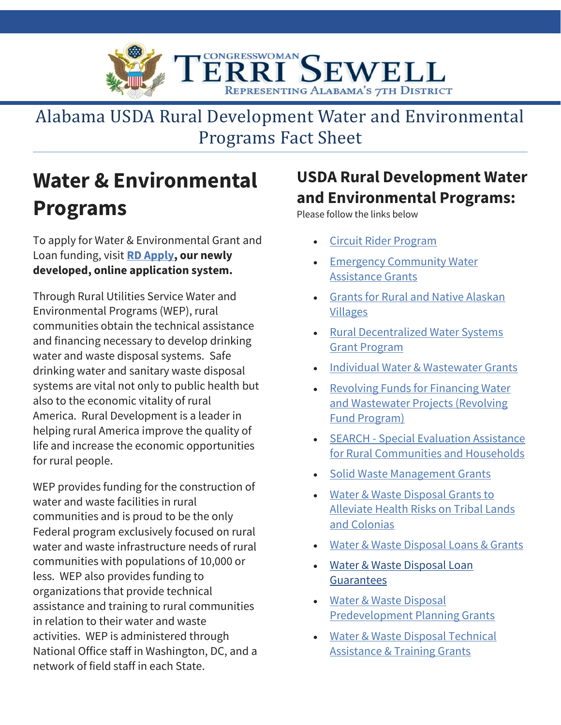

## Alabama USDA Rural Development Water and Environmental Programs Fact Sheet

## **Water & Environmental Programs**

To apply for Water & Environmental Grant and Loan funding, visit **[RD Apply,](https://www.rd.usda.gov/programs-services/rd-apply) our newly developed, online application system.**

Through Rural Utilities Service Water and Environmental Programs (WEP), rural communities obtain the technical assistance and financing necessary to develop drinking water and waste disposal systems. Safe drinking water and sanitary waste disposal systems are vital not only to public health but also to the economic vitality of rural America. Rural Development is a leader in helping rural America improve the quality of life and increase the economic opportunities for rural people.

WEP provides funding for the construction of water and waste facilities in rural communities and is proud to be the only Federal program exclusively focused on rural water and waste infrastructure needs of rural communities with populations of 10,000 or less. WEP also provides funding to organizations that provide technical assistance and training to rural communities in relation to their water and waste activities. WEP is administered through National Office staff in Washington, DC, and a network of field staff in each State.

## **USDA Rural Development Water and Environmental Programs:**

Please follow the links below

- [Circuit Rider Program](https://www.rd.usda.gov/programs-services/circuit-rider-program-technical-assistance-rural-water-systems)
- **Emergency Community Water** [Assistance Grants](https://www.rd.usda.gov/programs-services/emergency-community-water-assistance-grants)
- [Grants for Rural and Native Alaskan](https://www.rd.usda.gov/programs-services/grants-rural-and-native-alaskan-villages)  [Villages](https://www.rd.usda.gov/programs-services/grants-rural-and-native-alaskan-villages)
- [Rural Decentralized Water Systems](https://www.rd.usda.gov/programs-services/rural-decentralized-water-systems-grant)  [Grant Program](https://www.rd.usda.gov/programs-services/rural-decentralized-water-systems-grant)
- [Individual Water & Wastewater Grants](https://www.rd.usda.gov/programs-services/individual-water-wastewater-grants)
- [Revolving Funds for Financing Water](https://rd.usda.gov/programs-services/revolving-funds-for-financing-water-and-wastewater-projects)  [and Wastewater Projects \(Revolving](https://rd.usda.gov/programs-services/revolving-funds-for-financing-water-and-wastewater-projects)  [Fund Program\)](https://rd.usda.gov/programs-services/revolving-funds-for-financing-water-and-wastewater-projects)
- SEARCH [Special Evaluation Assistance](https://www.rd.usda.gov/programs-services/search-special-evaluation-assistance-rural-communities-and-households)  [for Rural Communities and Households](https://www.rd.usda.gov/programs-services/search-special-evaluation-assistance-rural-communities-and-households)
- [Solid Waste Management Grants](https://www.rd.usda.gov/programs-services/solid-waste-management-grants)
- [Water & Waste Disposal Grants to](https://www.rd.usda.gov/programs-services/water-waste-disposal-grants-alleviate-health-risks-tribal-lands-and-colonias)  [Alleviate Health Risks on Tribal Lands](https://www.rd.usda.gov/programs-services/water-waste-disposal-grants-alleviate-health-risks-tribal-lands-and-colonias)  [and Colonias](https://www.rd.usda.gov/programs-services/water-waste-disposal-grants-alleviate-health-risks-tribal-lands-and-colonias)
- [Water & Waste Disposal Loans & Grants](https://www.rd.usda.gov/programs-services/water-waste-disposal-loan-grant-program)
- [Water & Waste Disposal Loan](https://www.rd.usda.gov/programs-services/water-waste-disposal-loan-guarantees)  **[Guarantees](https://www.rd.usda.gov/programs-services/water-waste-disposal-loan-guarantees)**
- [Water & Waste Disposal](https://www.rd.usda.gov/programs-services/water-waste-disposal-predevelopment-planning-grants)  [Predevelopment Planning Grants](https://www.rd.usda.gov/programs-services/water-waste-disposal-predevelopment-planning-grants)
- [Water & Waste Disposal Technical](https://www.rd.usda.gov/programs-services/water-waste-disposal-technical-assistance-training-grants)  [Assistance & Training Grants](https://www.rd.usda.gov/programs-services/water-waste-disposal-technical-assistance-training-grants)